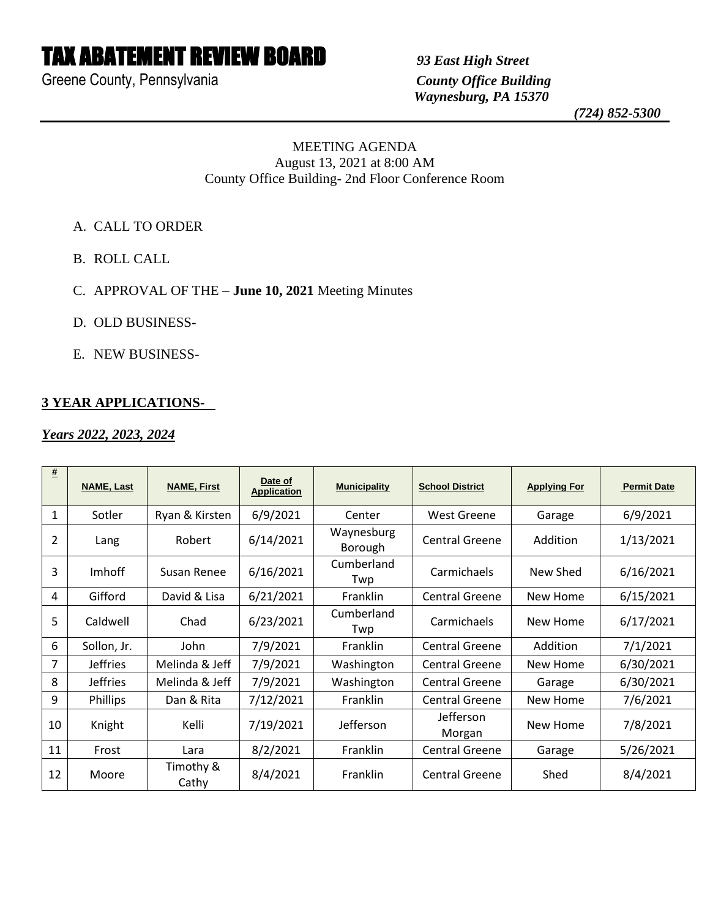# TAX ABATEMENT REVIEW BOARD *93 East High Street*

Greene County, Pennsylvania *County Office Building*

 *Waynesburg, PA 15370*

 *(724) 852-5300*

#### MEETING AGENDA August 13, 2021 at 8:00 AM County Office Building- 2nd Floor Conference Room

- A. CALL TO ORDER
- B. ROLL CALL
- C. APPROVAL OF THE **June 10, 2021** Meeting Minutes
- D. OLD BUSINESS-
- E. NEW BUSINESS-

## **3 YEAR APPLICATIONS-**

#### *Years 2022, 2023, 2024*

| #              | <b>NAME, Last</b> | <b>NAME, First</b> | Date of<br><b>Application</b> | <b>Municipality</b>   | <b>School District</b> | <b>Applying For</b> | <b>Permit Date</b> |
|----------------|-------------------|--------------------|-------------------------------|-----------------------|------------------------|---------------------|--------------------|
| 1              | Sotler            | Ryan & Kirsten     | 6/9/2021                      | Center                | West Greene            | Garage              | 6/9/2021           |
| $\overline{2}$ | Lang              | Robert             | 6/14/2021                     | Waynesburg<br>Borough | <b>Central Greene</b>  | Addition            | 1/13/2021          |
| 3              | <i>Imhoff</i>     | Susan Renee        | 6/16/2021                     | Cumberland<br>Twp     | Carmichaels            | New Shed            | 6/16/2021          |
| 4              | Gifford           | David & Lisa       | 6/21/2021                     | <b>Franklin</b>       | <b>Central Greene</b>  | New Home            | 6/15/2021          |
| 5              | Caldwell          | Chad               | 6/23/2021                     | Cumberland<br>Twp     | Carmichaels            | New Home            | 6/17/2021          |
| 6              | Sollon, Jr.       | John               | 7/9/2021                      | Franklin              | <b>Central Greene</b>  | Addition            | 7/1/2021           |
| 7              | <b>Jeffries</b>   | Melinda & Jeff     | 7/9/2021                      | Washington            | <b>Central Greene</b>  | New Home            | 6/30/2021          |
| 8              | <b>Jeffries</b>   | Melinda & Jeff     | 7/9/2021                      | Washington            | <b>Central Greene</b>  | Garage              | 6/30/2021          |
| 9              | Phillips          | Dan & Rita         | 7/12/2021                     | Franklin              | <b>Central Greene</b>  | New Home            | 7/6/2021           |
| 10             | Knight            | Kelli              | 7/19/2021                     | Jefferson             | Jefferson<br>Morgan    | New Home            | 7/8/2021           |
| 11             | Frost             | Lara               | 8/2/2021                      | Franklin              | <b>Central Greene</b>  | Garage              | 5/26/2021          |
| 12             | Moore             | Timothy &<br>Cathy | 8/4/2021                      | Franklin              | Central Greene         | Shed                | 8/4/2021           |